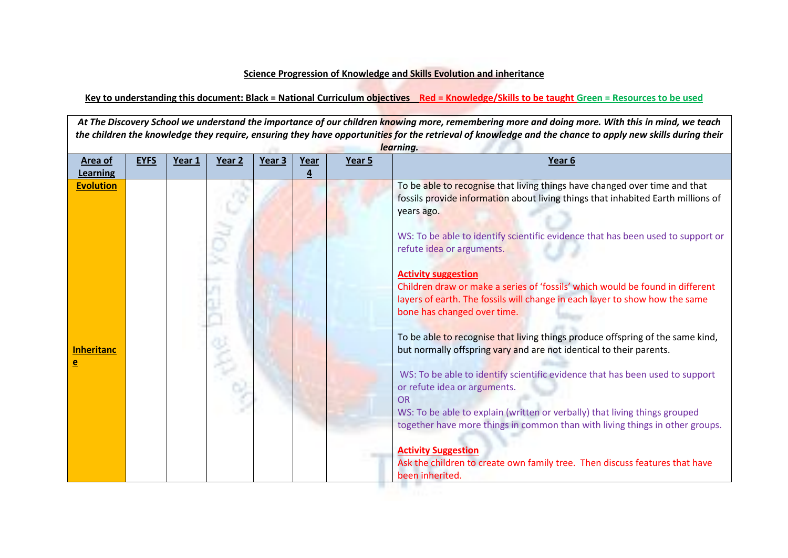## **Science Progression of Knowledge and Skills Evolution and inheritance**

**Key to understanding this document: Black = National Curriculum objectives Red = Knowledge/Skills to be taught Green = Resources to be used**

*At The Discovery School we understand the importance of our children knowing more, remembering more and doing more. With this in mind, we teach the children the knowledge they require, ensuring they have opportunities for the retrieval of knowledge and the chance to apply new skills during their learning.* **Area of Learning EYFS Year 1 Year 2 Year 3 Year 4 Year 5 Year 6 Evolution Inheritanc e**  To be able to recognise that living things have changed over time and that fossils provide information about living things that inhabited Earth millions of years ago. WS: To be able to identify scientific evidence that has been used to support or refute idea or arguments. **Activity suggestion** Children draw or make a series of 'fossils' which would be found in different layers of earth. The fossils will change in each layer to show how the same bone has changed over time. To be able to recognise that living things produce offspring of the same kind, but normally offspring vary and are not identical to their parents. WS: To be able to identify scientific evidence that has been used to support or refute idea or arguments. OR WS: To be able to explain (written or verbally) that living things grouped together have more things in common than with living things in other groups. **Activity Suggestion** Ask the children to create own family tree. Then discuss features that have been inherited.